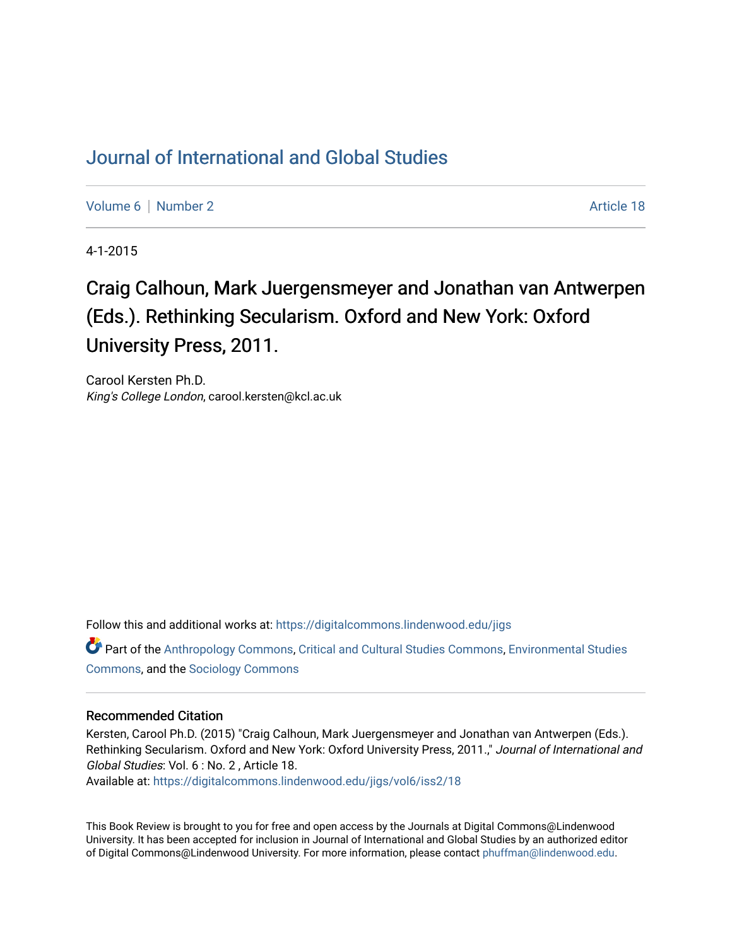## [Journal of International and Global Studies](https://digitalcommons.lindenwood.edu/jigs)

[Volume 6](https://digitalcommons.lindenwood.edu/jigs/vol6) | [Number 2](https://digitalcommons.lindenwood.edu/jigs/vol6/iss2) Article 18

4-1-2015

## Craig Calhoun, Mark Juergensmeyer and Jonathan van Antwerpen (Eds.). Rethinking Secularism. Oxford and New York: Oxford University Press, 2011.

Carool Kersten Ph.D. King's College London, carool.kersten@kcl.ac.uk

Follow this and additional works at: [https://digitalcommons.lindenwood.edu/jigs](https://digitalcommons.lindenwood.edu/jigs?utm_source=digitalcommons.lindenwood.edu%2Fjigs%2Fvol6%2Fiss2%2F18&utm_medium=PDF&utm_campaign=PDFCoverPages) 

Part of the [Anthropology Commons](http://network.bepress.com/hgg/discipline/318?utm_source=digitalcommons.lindenwood.edu%2Fjigs%2Fvol6%2Fiss2%2F18&utm_medium=PDF&utm_campaign=PDFCoverPages), [Critical and Cultural Studies Commons](http://network.bepress.com/hgg/discipline/328?utm_source=digitalcommons.lindenwood.edu%2Fjigs%2Fvol6%2Fiss2%2F18&utm_medium=PDF&utm_campaign=PDFCoverPages), [Environmental Studies](http://network.bepress.com/hgg/discipline/1333?utm_source=digitalcommons.lindenwood.edu%2Fjigs%2Fvol6%2Fiss2%2F18&utm_medium=PDF&utm_campaign=PDFCoverPages)  [Commons](http://network.bepress.com/hgg/discipline/1333?utm_source=digitalcommons.lindenwood.edu%2Fjigs%2Fvol6%2Fiss2%2F18&utm_medium=PDF&utm_campaign=PDFCoverPages), and the [Sociology Commons](http://network.bepress.com/hgg/discipline/416?utm_source=digitalcommons.lindenwood.edu%2Fjigs%2Fvol6%2Fiss2%2F18&utm_medium=PDF&utm_campaign=PDFCoverPages)

## Recommended Citation

Kersten, Carool Ph.D. (2015) "Craig Calhoun, Mark Juergensmeyer and Jonathan van Antwerpen (Eds.). Rethinking Secularism. Oxford and New York: Oxford University Press, 2011.," Journal of International and Global Studies: Vol. 6 : No. 2 , Article 18.

Available at: [https://digitalcommons.lindenwood.edu/jigs/vol6/iss2/18](https://digitalcommons.lindenwood.edu/jigs/vol6/iss2/18?utm_source=digitalcommons.lindenwood.edu%2Fjigs%2Fvol6%2Fiss2%2F18&utm_medium=PDF&utm_campaign=PDFCoverPages) 

This Book Review is brought to you for free and open access by the Journals at Digital Commons@Lindenwood University. It has been accepted for inclusion in Journal of International and Global Studies by an authorized editor of Digital Commons@Lindenwood University. For more information, please contact [phuffman@lindenwood.edu](mailto:phuffman@lindenwood.edu).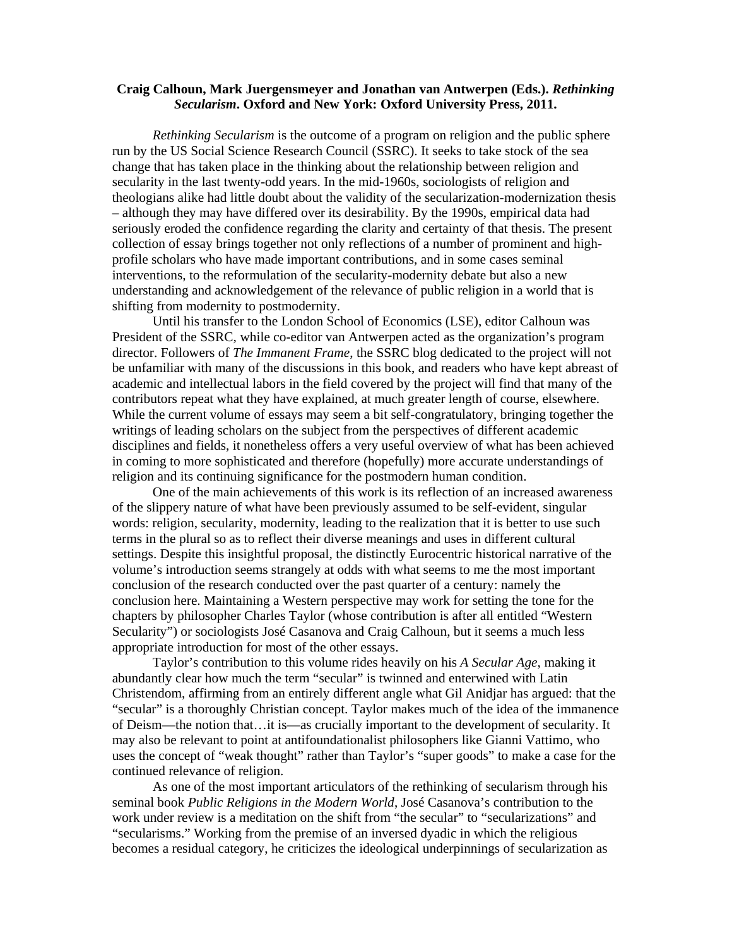## **Craig Calhoun, Mark Juergensmeyer and Jonathan van Antwerpen (Eds.).** *Rethinking Secularism***. Oxford and New York: Oxford University Press, 2011.**

*Rethinking Secularism* is the outcome of a program on religion and the public sphere run by the US Social Science Research Council (SSRC). It seeks to take stock of the sea change that has taken place in the thinking about the relationship between religion and secularity in the last twenty-odd years. In the mid-1960s, sociologists of religion and theologians alike had little doubt about the validity of the secularization-modernization thesis – although they may have differed over its desirability. By the 1990s, empirical data had seriously eroded the confidence regarding the clarity and certainty of that thesis. The present collection of essay brings together not only reflections of a number of prominent and highprofile scholars who have made important contributions, and in some cases seminal interventions, to the reformulation of the secularity-modernity debate but also a new understanding and acknowledgement of the relevance of public religion in a world that is shifting from modernity to postmodernity.

Until his transfer to the London School of Economics (LSE), editor Calhoun was President of the SSRC, while co-editor van Antwerpen acted as the organization's program director. Followers of *The Immanent Frame*, the SSRC blog dedicated to the project will not be unfamiliar with many of the discussions in this book, and readers who have kept abreast of academic and intellectual labors in the field covered by the project will find that many of the contributors repeat what they have explained, at much greater length of course, elsewhere. While the current volume of essays may seem a bit self-congratulatory, bringing together the writings of leading scholars on the subject from the perspectives of different academic disciplines and fields, it nonetheless offers a very useful overview of what has been achieved in coming to more sophisticated and therefore (hopefully) more accurate understandings of religion and its continuing significance for the postmodern human condition.

One of the main achievements of this work is its reflection of an increased awareness of the slippery nature of what have been previously assumed to be self-evident, singular words: religion, secularity, modernity, leading to the realization that it is better to use such terms in the plural so as to reflect their diverse meanings and uses in different cultural settings. Despite this insightful proposal, the distinctly Eurocentric historical narrative of the volume's introduction seems strangely at odds with what seems to me the most important conclusion of the research conducted over the past quarter of a century: namely the conclusion here. Maintaining a Western perspective may work for setting the tone for the chapters by philosopher Charles Taylor (whose contribution is after all entitled "Western Secularity") or sociologists José Casanova and Craig Calhoun, but it seems a much less appropriate introduction for most of the other essays.

Taylor's contribution to this volume rides heavily on his *A Secular Age*, making it abundantly clear how much the term "secular" is twinned and enterwined with Latin Christendom, affirming from an entirely different angle what Gil Anidjar has argued: that the "secular" is a thoroughly Christian concept. Taylor makes much of the idea of the immanence of Deism—the notion that…it is—as crucially important to the development of secularity. It may also be relevant to point at antifoundationalist philosophers like Gianni Vattimo, who uses the concept of "weak thought" rather than Taylor's "super goods" to make a case for the continued relevance of religion.

As one of the most important articulators of the rethinking of secularism through his seminal book *Public Religions in the Modern World*, José Casanova's contribution to the work under review is a meditation on the shift from "the secular" to "secularizations" and "secularisms." Working from the premise of an inversed dyadic in which the religious becomes a residual category, he criticizes the ideological underpinnings of secularization as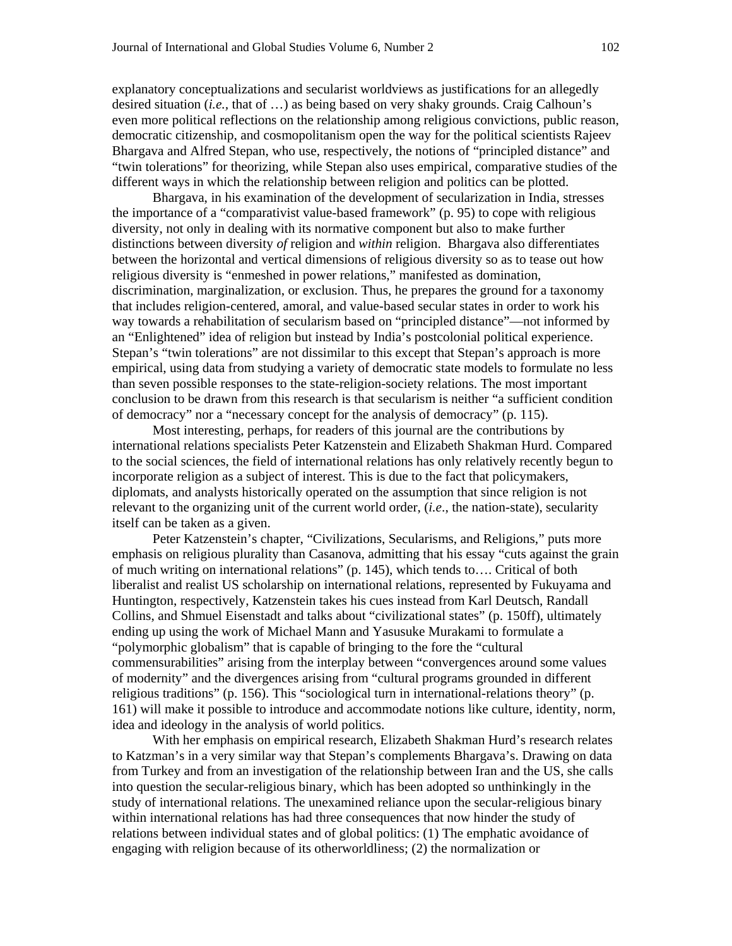explanatory conceptualizations and secularist worldviews as justifications for an allegedly desired situation (*i.e.,* that of …) as being based on very shaky grounds. Craig Calhoun's even more political reflections on the relationship among religious convictions, public reason, democratic citizenship, and cosmopolitanism open the way for the political scientists Rajeev Bhargava and Alfred Stepan, who use, respectively, the notions of "principled distance" and "twin tolerations" for theorizing, while Stepan also uses empirical, comparative studies of the different ways in which the relationship between religion and politics can be plotted.

Bhargava, in his examination of the development of secularization in India, stresses the importance of a "comparativist value-based framework" (p. 95) to cope with religious diversity, not only in dealing with its normative component but also to make further distinctions between diversity *of* religion and *within* religion. Bhargava also differentiates between the horizontal and vertical dimensions of religious diversity so as to tease out how religious diversity is "enmeshed in power relations," manifested as domination, discrimination, marginalization, or exclusion. Thus, he prepares the ground for a taxonomy that includes religion-centered, amoral, and value-based secular states in order to work his way towards a rehabilitation of secularism based on "principled distance"—not informed by an "Enlightened" idea of religion but instead by India's postcolonial political experience. Stepan's "twin tolerations" are not dissimilar to this except that Stepan's approach is more empirical, using data from studying a variety of democratic state models to formulate no less than seven possible responses to the state-religion-society relations. The most important conclusion to be drawn from this research is that secularism is neither "a sufficient condition of democracy" nor a "necessary concept for the analysis of democracy" (p. 115).

Most interesting, perhaps, for readers of this journal are the contributions by international relations specialists Peter Katzenstein and Elizabeth Shakman Hurd. Compared to the social sciences, the field of international relations has only relatively recently begun to incorporate religion as a subject of interest. This is due to the fact that policymakers, diplomats, and analysts historically operated on the assumption that since religion is not relevant to the organizing unit of the current world order, (*i.e*., the nation-state), secularity itself can be taken as a given.

Peter Katzenstein's chapter, "Civilizations, Secularisms, and Religions," puts more emphasis on religious plurality than Casanova, admitting that his essay "cuts against the grain of much writing on international relations" (p. 145), which tends to…. Critical of both liberalist and realist US scholarship on international relations, represented by Fukuyama and Huntington, respectively, Katzenstein takes his cues instead from Karl Deutsch, Randall Collins, and Shmuel Eisenstadt and talks about "civilizational states" (p. 150ff), ultimately ending up using the work of Michael Mann and Yasusuke Murakami to formulate a "polymorphic globalism" that is capable of bringing to the fore the "cultural commensurabilities" arising from the interplay between "convergences around some values of modernity" and the divergences arising from "cultural programs grounded in different religious traditions" (p. 156). This "sociological turn in international-relations theory" (p. 161) will make it possible to introduce and accommodate notions like culture, identity, norm, idea and ideology in the analysis of world politics.

With her emphasis on empirical research, Elizabeth Shakman Hurd's research relates to Katzman's in a very similar way that Stepan's complements Bhargava's. Drawing on data from Turkey and from an investigation of the relationship between Iran and the US, she calls into question the secular-religious binary, which has been adopted so unthinkingly in the study of international relations. The unexamined reliance upon the secular-religious binary within international relations has had three consequences that now hinder the study of relations between individual states and of global politics: (1) The emphatic avoidance of engaging with religion because of its otherworldliness; (2) the normalization or